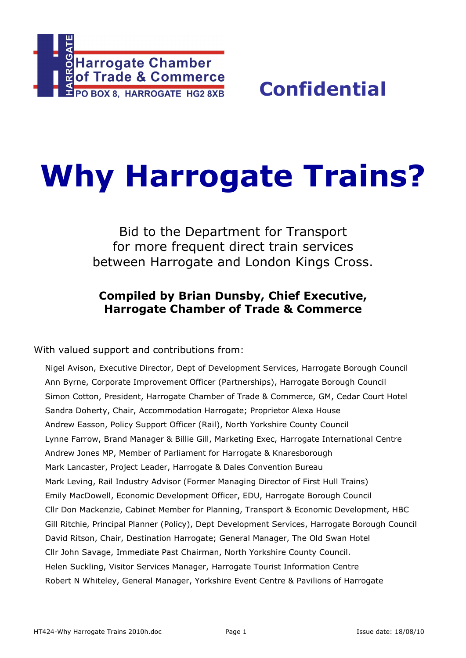

# **Why Harrogate Trains?**

Bid to the Department for Transport for more frequent direct train services between Harrogate and London Kings Cross.

## **Compiled by Brian Dunsby, Chief Executive, Harrogate Chamber of Trade & Commerce**

With valued support and contributions from:

Nigel Avison, Executive Director, Dept of Development Services, Harrogate Borough Council Ann Byrne, Corporate Improvement Officer (Partnerships), Harrogate Borough Council Simon Cotton, President, Harrogate Chamber of Trade & Commerce, GM, Cedar Court Hotel Sandra Doherty, Chair, Accommodation Harrogate; Proprietor Alexa House Andrew Easson, Policy Support Officer (Rail), North Yorkshire County Council Lynne Farrow, Brand Manager & Billie Gill, Marketing Exec, Harrogate International Centre Andrew Jones MP, Member of Parliament for Harrogate & Knaresborough Mark Lancaster, Project Leader, Harrogate & Dales Convention Bureau Mark Leving, Rail Industry Advisor (Former Managing Director of First Hull Trains) Emily MacDowell, Economic Development Officer, EDU, Harrogate Borough Council Cllr Don Mackenzie, Cabinet Member for Planning, Transport & Economic Development, HBC Gill Ritchie, Principal Planner (Policy), Dept Development Services, Harrogate Borough Council David Ritson, Chair, Destination Harrogate; General Manager, The Old Swan Hotel Cllr John Savage, Immediate Past Chairman, North Yorkshire County Council. Helen Suckling, Visitor Services Manager, Harrogate Tourist Information Centre Robert N Whiteley, General Manager, Yorkshire Event Centre & Pavilions of Harrogate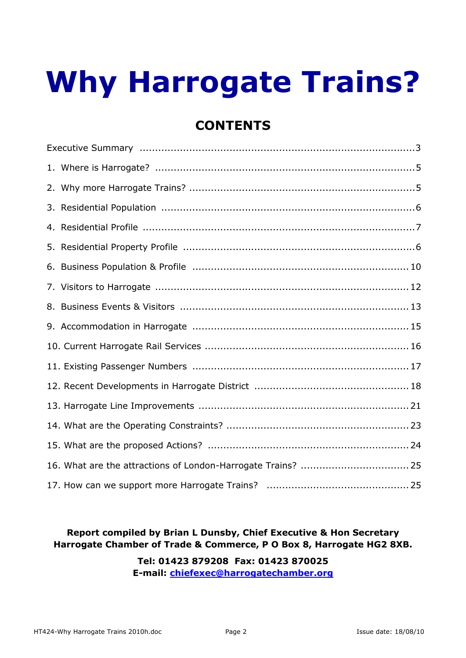## **Why Harrogate Trains?**

## **CONTENTS**

## **Report compiled by Brian L Dunsby, Chief Executive & Hon Secretary Harrogate Chamber of Trade & Commerce, P O Box 8, Harrogate HG2 8XB.**

**Tel: 01423 879208 Fax: 01423 870025 E-mail: chiefexec@harrogatechamber.org**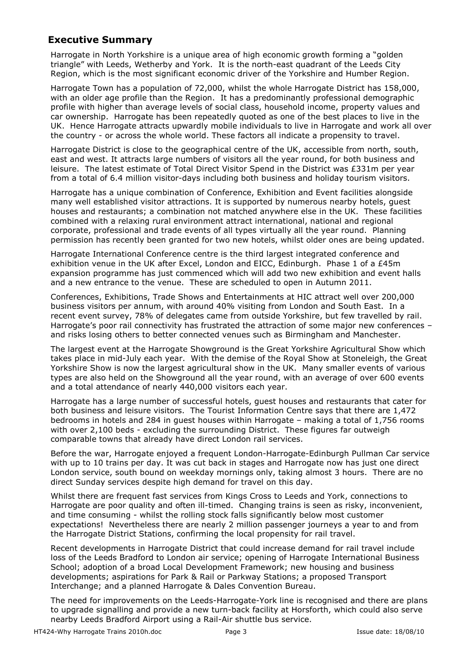## **Executive Summary**

Harrogate in North Yorkshire is a unique area of high economic growth forming a "golden triangle" with Leeds, Wetherby and York. It is the north-east quadrant of the Leeds City Region, which is the most significant economic driver of the Yorkshire and Humber Region.

Harrogate Town has a population of 72,000, whilst the whole Harrogate District has 158,000, with an older age profile than the Region. It has a predominantly professional demographic profile with higher than average levels of social class, household income, property values and car ownership. Harrogate has been repeatedly quoted as one of the best places to live in the UK. Hence Harrogate attracts upwardly mobile individuals to live in Harrogate and work all over the country - or across the whole world. These factors all indicate a propensity to travel.

Harrogate District is close to the geographical centre of the UK, accessible from north, south, east and west. It attracts large numbers of visitors all the year round, for both business and leisure. The latest estimate of Total Direct Visitor Spend in the District was £331m per year from a total of 6.4 million visitor-days including both business and holiday tourism visitors.

Harrogate has a unique combination of Conference, Exhibition and Event facilities alongside many well established visitor attractions. It is supported by numerous nearby hotels, guest houses and restaurants; a combination not matched anywhere else in the UK. These facilities combined with a relaxing rural environment attract international, national and regional corporate, professional and trade events of all types virtually all the year round. Planning permission has recently been granted for two new hotels, whilst older ones are being updated.

Harrogate International Conference centre is the third largest integrated conference and exhibition venue in the UK after Excel, London and EICC, Edinburgh. Phase 1 of a £45m expansion programme has just commenced which will add two new exhibition and event halls and a new entrance to the venue. These are scheduled to open in Autumn 2011.

Conferences, Exhibitions, Trade Shows and Entertainments at HIC attract well over 200,000 business visitors per annum, with around 40% visiting from London and South East. In a recent event survey, 78% of delegates came from outside Yorkshire, but few travelled by rail. Harrogate's poor rail connectivity has frustrated the attraction of some major new conferences and risks losing others to better connected venues such as Birmingham and Manchester.

The largest event at the Harrogate Showground is the Great Yorkshire Agricultural Show which takes place in mid-July each year. With the demise of the Royal Show at Stoneleigh, the Great Yorkshire Show is now the largest agricultural show in the UK. Many smaller events of various types are also held on the Showground all the year round, with an average of over 600 events and a total attendance of nearly 440,000 visitors each year.

Harrogate has a large number of successful hotels, guest houses and restaurants that cater for both business and leisure visitors. The Tourist Information Centre says that there are 1,472 bedrooms in hotels and 284 in guest houses within Harrogate – making a total of 1,756 rooms with over 2,100 beds - excluding the surrounding District. These figures far outweigh comparable towns that already have direct London rail services.

Before the war, Harrogate enjoyed a frequent London-Harrogate-Edinburgh Pullman Car service with up to 10 trains per day. It was cut back in stages and Harrogate now has just one direct London service, south bound on weekday mornings only, taking almost 3 hours. There are no direct Sunday services despite high demand for travel on this day.

Whilst there are frequent fast services from Kings Cross to Leeds and York, connections to Harrogate are poor quality and often ill-timed. Changing trains is seen as risky, inconvenient, and time consuming - whilst the rolling stock falls significantly below most customer expectations! Nevertheless there are nearly 2 million passenger journeys a year to and from the Harrogate District Stations, confirming the local propensity for rail travel.

Recent developments in Harrogate District that could increase demand for rail travel include loss of the Leeds Bradford to London air service; opening of Harrogate International Business School; adoption of a broad Local Development Framework; new housing and business developments; aspirations for Park & Rail or Parkway Stations; a proposed Transport Interchange; and a planned Harrogate & Dales Convention Bureau.

The need for improvements on the Leeds-Harrogate-York line is recognised and there are plans to upgrade signalling and provide a new turn-back facility at Horsforth, which could also serve nearby Leeds Bradford Airport using a Rail-Air shuttle bus service.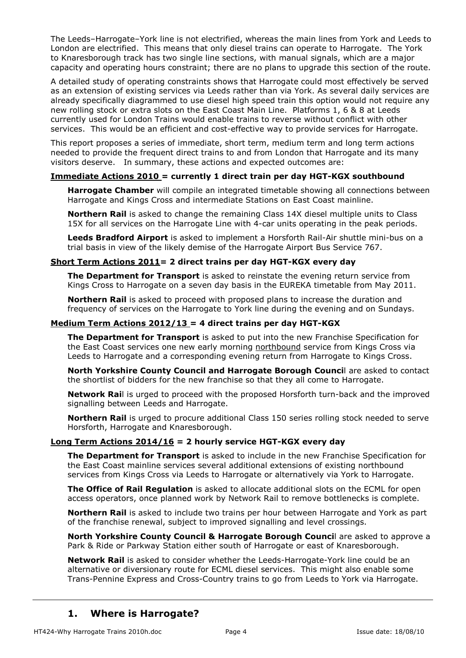The Leeds–Harrogate–York line is not electrified, whereas the main lines from York and Leeds to London are electrified. This means that only diesel trains can operate to Harrogate. The York to Knaresborough track has two single line sections, with manual signals, which are a major capacity and operating hours constraint; there are no plans to upgrade this section of the route.

A detailed study of operating constraints shows that Harrogate could most effectively be served as an extension of existing services via Leeds rather than via York. As several daily services are already specifically diagrammed to use diesel high speed train this option would not require any new rolling stock or extra slots on the East Coast Main Line. Platforms 1, 6 & 8 at Leeds currently used for London Trains would enable trains to reverse without conflict with other services. This would be an efficient and cost-effective way to provide services for Harrogate.

This report proposes a series of immediate, short term, medium term and long term actions needed to provide the frequent direct trains to and from London that Harrogate and its many visitors deserve. In summary, these actions and expected outcomes are:

#### **Immediate Actions 2010 = currently 1 direct train per day HGT-KGX southbound**

**Harrogate Chamber** will compile an integrated timetable showing all connections between Harrogate and Kings Cross and intermediate Stations on East Coast mainline.

**Northern Rail** is asked to change the remaining Class 14X diesel multiple units to Class 15X for all services on the Harrogate Line with 4-car units operating in the peak periods.

**Leeds Bradford Airport** is asked to implement a Horsforth Rail-Air shuttle mini-bus on a trial basis in view of the likely demise of the Harrogate Airport Bus Service 767.

#### **Short Term Actions 2011= 2 direct trains per day HGT-KGX every day**

**The Department for Transport** is asked to reinstate the evening return service from Kings Cross to Harrogate on a seven day basis in the EUREKA timetable from May 2011.

**Northern Rail** is asked to proceed with proposed plans to increase the duration and frequency of services on the Harrogate to York line during the evening and on Sundays.

#### **Medium Term Actions 2012/13 = 4 direct trains per day HGT-KGX**

**The Department for Transport** is asked to put into the new Franchise Specification for the East Coast services one new early morning northbound service from Kings Cross via Leeds to Harrogate and a corresponding evening return from Harrogate to Kings Cross.

**North Yorkshire County Council and Harrogate Borough Counci**l are asked to contact the shortlist of bidders for the new franchise so that they all come to Harrogate.

**Network Rai**l is urged to proceed with the proposed Horsforth turn-back and the improved signalling between Leeds and Harrogate.

**Northern Rail** is urged to procure additional Class 150 series rolling stock needed to serve Horsforth, Harrogate and Knaresborough.

#### **Long Term Actions 2014/16 = 2 hourly service HGT-KGX every day**

**The Department for Transport** is asked to include in the new Franchise Specification for the East Coast mainline services several additional extensions of existing northbound services from Kings Cross via Leeds to Harrogate or alternatively via York to Harrogate.

**The Office of Rail Regulation** is asked to allocate additional slots on the ECML for open access operators, once planned work by Network Rail to remove bottlenecks is complete.

**Northern Rail** is asked to include two trains per hour between Harrogate and York as part of the franchise renewal, subject to improved signalling and level crossings.

**North Yorkshire County Council & Harrogate Borough Counci**l are asked to approve a Park & Ride or Parkway Station either south of Harrogate or east of Knaresborough.

**Network Rail** is asked to consider whether the Leeds-Harrogate-York line could be an alternative or diversionary route for ECML diesel services. This might also enable some Trans-Pennine Express and Cross-Country trains to go from Leeds to York via Harrogate.

#### **1. Where is Harrogate?**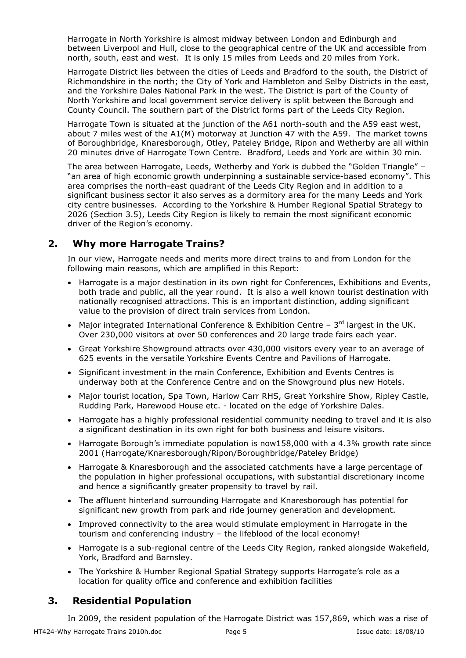Harrogate in North Yorkshire is almost midway between London and Edinburgh and between Liverpool and Hull, close to the geographical centre of the UK and accessible from north, south, east and west. It is only 15 miles from Leeds and 20 miles from York.

Harrogate District lies between the cities of Leeds and Bradford to the south, the District of Richmondshire in the north; the City of York and Hambleton and Selby Districts in the east, and the Yorkshire Dales National Park in the west. The District is part of the County of North Yorkshire and local government service delivery is split between the Borough and County Council. The southern part of the District forms part of the Leeds City Region.

Harrogate Town is situated at the junction of the A61 north-south and the A59 east west, about 7 miles west of the A1(M) motorway at Junction 47 with the A59. The market towns of Boroughbridge, Knaresborough, Otley, Pateley Bridge, Ripon and Wetherby are all within 20 minutes drive of Harrogate Town Centre. Bradford, Leeds and York are within 30 min.

The area between Harrogate, Leeds, Wetherby and York is dubbed the "Golden Triangle" – "an area of high economic growth underpinning a sustainable service-based economy". This area comprises the north-east quadrant of the Leeds City Region and in addition to a significant business sector it also serves as a dormitory area for the many Leeds and York city centre businesses. According to the Yorkshire & Humber Regional Spatial Strategy to 2026 (Section 3.5), Leeds City Region is likely to remain the most significant economic driver of the Region's economy.

## **2. Why more Harrogate Trains?**

In our view, Harrogate needs and merits more direct trains to and from London for the following main reasons, which are amplified in this Report:

- Harrogate is a major destination in its own right for Conferences, Exhibitions and Events, both trade and public, all the year round. It is also a well known tourist destination with nationally recognised attractions. This is an important distinction, adding significant value to the provision of direct train services from London.
- Major integrated International Conference & Exhibition Centre  $3<sup>rd</sup>$  largest in the UK. Over 230,000 visitors at over 50 conferences and 20 large trade fairs each year.
- Great Yorkshire Showground attracts over 430,000 visitors every year to an average of 625 events in the versatile Yorkshire Events Centre and Pavilions of Harrogate.
- Significant investment in the main Conference, Exhibition and Events Centres is underway both at the Conference Centre and on the Showground plus new Hotels.
- Major tourist location, Spa Town, Harlow Carr RHS, Great Yorkshire Show, Ripley Castle, Rudding Park, Harewood House etc. - located on the edge of Yorkshire Dales.
- Harrogate has a highly professional residential community needing to travel and it is also a significant destination in its own right for both business and leisure visitors.
- Harrogate Borough's immediate population is now158,000 with a 4.3% growth rate since 2001 (Harrogate/Knaresborough/Ripon/Boroughbridge/Pateley Bridge)
- Harrogate & Knaresborough and the associated catchments have a large percentage of the population in higher professional occupations, with substantial discretionary income and hence a significantly greater propensity to travel by rail.
- The affluent hinterland surrounding Harrogate and Knaresborough has potential for significant new growth from park and ride journey generation and development.
- Improved connectivity to the area would stimulate employment in Harrogate in the tourism and conferencing industry – the lifeblood of the local economy!
- Harrogate is a sub-regional centre of the Leeds City Region, ranked alongside Wakefield, York, Bradford and Barnsley.
- The Yorkshire & Humber Regional Spatial Strategy supports Harrogate's role as a location for quality office and conference and exhibition facilities

## **3. Residential Population**

HT424-Why Harrogate Trains 2010h.doc **Page 5** Page 5 **ISSUE date: 18/08/10** In 2009, the resident population of the Harrogate District was 157,869, which was a rise of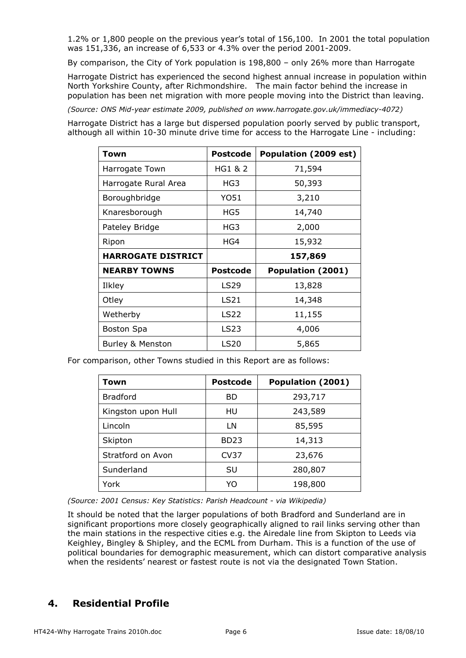1.2% or 1,800 people on the previous year's total of 156,100. In 2001 the total population was 151,336, an increase of 6,533 or 4.3% over the period 2001-2009.

By comparison, the City of York population is 198,800 – only 26% more than Harrogate

Harrogate District has experienced the second highest annual increase in population within North Yorkshire County, after Richmondshire. The main factor behind the increase in population has been net migration with more people moving into the District than leaving.

*(Source: ONS Mid-year estimate 2009, published on www.harrogate.gov.uk/immediacy-4072)* 

Harrogate District has a large but dispersed population poorly served by public transport, although all within 10-30 minute drive time for access to the Harrogate Line - including:

| Town                      | <b>Postcode</b>  | Population (2009 est) |
|---------------------------|------------------|-----------------------|
| Harrogate Town            | HG1 & 2          | 71,594                |
| Harrogate Rural Area      | HG3              | 50,393                |
| Boroughbridge             | Y051             | 3,210                 |
| Knaresborough             | HG5              | 14,740                |
| Pateley Bridge            | HG3              | 2,000                 |
| Ripon                     | HG4              | 15,932                |
| <b>HARROGATE DISTRICT</b> |                  | 157,869               |
| <b>NEARBY TOWNS</b>       | <b>Postcode</b>  | Population (2001)     |
| Ilkley                    | LS29             | 13,828                |
| Otley                     | LS21             | 14,348                |
| Wetherby                  | LS <sub>22</sub> | 11,155                |
| Boston Spa                | LS <sub>23</sub> | 4,006                 |
| Burley & Menston          | LS20             | 5,865                 |

For comparison, other Towns studied in this Report are as follows:

| Town               | <b>Postcode</b> | Population (2001) |
|--------------------|-----------------|-------------------|
| <b>Bradford</b>    | <b>BD</b>       | 293,717           |
| Kingston upon Hull | HU              | 243,589           |
| Lincoln            | LN              | 85,595            |
| Skipton            | <b>BD23</b>     | 14,313            |
| Stratford on Avon  | <b>CV37</b>     | 23,676            |
| Sunderland         | SU              | 280,807           |
| York               | YO              | 198,800           |

*(Source: 2001 Census: Key Statistics: Parish Headcount - via Wikipedia)* 

It should be noted that the larger populations of both Bradford and Sunderland are in significant proportions more closely geographically aligned to rail links serving other than the main stations in the respective cities e.g. the Airedale line from Skipton to Leeds via Keighley, Bingley & Shipley, and the ECML from Durham. This is a function of the use of political boundaries for demographic measurement, which can distort comparative analysis when the residents' nearest or fastest route is not via the designated Town Station.

## **4. Residential Profile**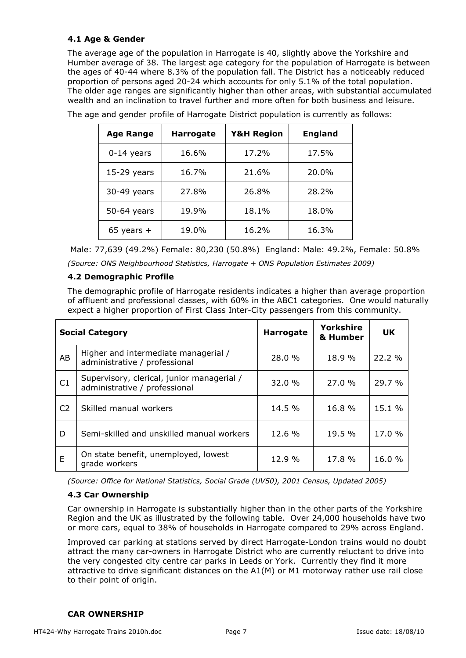#### **4.1 Age & Gender**

The average age of the population in Harrogate is 40, slightly above the Yorkshire and Humber average of 38. The largest age category for the population of Harrogate is between the ages of 40-44 where 8.3% of the population fall. The District has a noticeably reduced proportion of persons aged 20-24 which accounts for only 5.1% of the total population. The older age ranges are significantly higher than other areas, with substantial accumulated wealth and an inclination to travel further and more often for both business and leisure.

| <b>Age Range</b> | <b>Harrogate</b> | <b>Y&amp;H Region</b> | <b>England</b> |
|------------------|------------------|-----------------------|----------------|
| $0-14$ years     | 16.6%            | 17.2%                 | 17.5%          |
| $15-29$ years    | 16.7%            | 21.6%                 | 20.0%          |
| 30-49 years      | 27.8%            | 26.8%                 | 28.2%          |
| 50-64 years      | 19.9%            | 18.1%                 | 18.0%          |
| 65 years $+$     | 19.0%            | 16.2%                 | 16.3%          |

The age and gender profile of Harrogate District population is currently as follows:

Male: 77,639 (49.2%) Female: 80,230 (50.8%) England: Male: 49.2%, Female: 50.8%

*(Source: ONS Neighbourhood Statistics, Harrogate + ONS Population Estimates 2009)* 

#### **4.2 Demographic Profile**

The demographic profile of Harrogate residents indicates a higher than average proportion of affluent and professional classes, with 60% in the ABC1 categories. One would naturally expect a higher proportion of First Class Inter-City passengers from this community.

|                | <b>Social Category</b>                                                      | <b>Harrogate</b> | Yorkshire<br>& Humber | <b>UK</b> |
|----------------|-----------------------------------------------------------------------------|------------------|-----------------------|-----------|
| AB             | Higher and intermediate managerial /<br>administrative / professional       | 28.0 %           | 18.9 %                | 22.2 %    |
| C1             | Supervisory, clerical, junior managerial /<br>administrative / professional | 32.0 %           | 27.0%                 | 29.7 %    |
| C <sub>2</sub> | Skilled manual workers                                                      | 14.5 %           | 16.8 %                | 15.1 %    |
| D              | Semi-skilled and unskilled manual workers                                   | 12.6 %           | 19.5 %                | 17.0 %    |
| E              | On state benefit, unemployed, lowest<br>grade workers                       | 12.9 %           | 17.8 %                | 16.0%     |

*(Source: Office for National Statistics, Social Grade (UV50), 2001 Census, Updated 2005)* 

#### **4.3 Car Ownership**

Car ownership in Harrogate is substantially higher than in the other parts of the Yorkshire Region and the UK as illustrated by the following table. Over 24,000 households have two or more cars, equal to 38% of households in Harrogate compared to 29% across England.

Improved car parking at stations served by direct Harrogate-London trains would no doubt attract the many car-owners in Harrogate District who are currently reluctant to drive into the very congested city centre car parks in Leeds or York. Currently they find it more attractive to drive significant distances on the A1(M) or M1 motorway rather use rail close to their point of origin.

#### **CAR OWNERSHIP**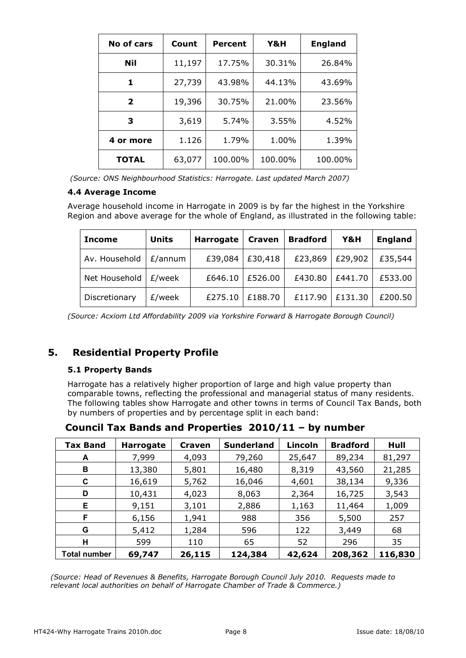| No of cars   | Count  | <b>Percent</b> | Y&H     | <b>England</b> |
|--------------|--------|----------------|---------|----------------|
| Nil          | 11,197 | 17.75%         | 30.31%  | 26.84%         |
| 1            | 27,739 | 43.98%         | 44.13%  | 43.69%         |
| $\mathbf{2}$ | 19,396 | 30.75%         | 21.00%  | 23.56%         |
| 3            | 3,619  | 5.74%          | 3.55%   | 4.52%          |
| 4 or more    | 1.126  | 1.79%          | 1.00%   | 1.39%          |
| <b>TOTAL</b> | 63,077 | 100.00%        | 100.00% | 100.00%        |

| (Source: ONS Neighbourhood Statistics: Harrogate. Last updated March 2007) |  |  |
|----------------------------------------------------------------------------|--|--|
|                                                                            |  |  |

#### **4.4 Average Income**

Average household income in Harrogate in 2009 is by far the highest in the Yorkshire Region and above average for the whole of England, as illustrated in the following table:

| <b>Income</b> | Units   | Harrogate | <b>Craven</b>     | <b>Bradford</b> | Y&H     | <b>England</b> |
|---------------|---------|-----------|-------------------|-----------------|---------|----------------|
| Av. Household | E/annum |           | £39,084   £30,418 | £23,869         | £29,902 | £35,544        |
| Net Household | £/week  |           | £646.10   £526.00 | £430.80         | £441.70 | £533.00        |
| Discretionary | £/week  | £275.10   | £188.70           | £117.90         | £131.30 | £200.50        |

*(Source: Acxiom Ltd Affordability 2009 via Yorkshire Forward & Harrogate Borough Council)* 

## **5. Residential Property Profile**

#### **5.1 Property Bands**

Harrogate has a relatively higher proportion of large and high value property than comparable towns, reflecting the professional and managerial status of many residents. The following tables show Harrogate and other towns in terms of Council Tax Bands, both by numbers of properties and by percentage split in each band:

| <b>Tax Band</b>     | <b>Harrogate</b> | <b>Craven</b> | <b>Sunderland</b> | Lincoln | <b>Bradford</b> | Hull    |
|---------------------|------------------|---------------|-------------------|---------|-----------------|---------|
| A                   | 7,999            | 4,093         | 79,260            | 25,647  | 89,234          | 81,297  |
| В                   | 13,380           | 5,801         | 16,480            | 8,319   | 43,560          | 21,285  |
| C                   | 16,619           | 5,762         | 16,046            | 4,601   | 38,134          | 9,336   |
| D                   | 10,431           | 4,023         | 8,063             | 2,364   | 16,725          | 3,543   |
| Е                   | 9,151            | 3,101         | 2,886             | 1,163   | 11,464          | 1,009   |
| F                   | 6,156            | 1,941         | 988               | 356     | 5,500           | 257     |
| G                   | 5,412            | 1,284         | 596               | 122     | 3,449           | 68      |
| н                   | 599              | 110           | 65                | 52      | 296             | 35      |
| <b>Total number</b> | 69,747           | 26,115        | 124,384           | 42,624  | 208,362         | 116,830 |

**Council Tax Bands and Properties 2010/11 – by number** 

*(Source: Head of Revenues & Benefits, Harrogate Borough Council July 2010. Requests made to relevant local authorities on behalf of Harrogate Chamber of Trade & Commerce.)*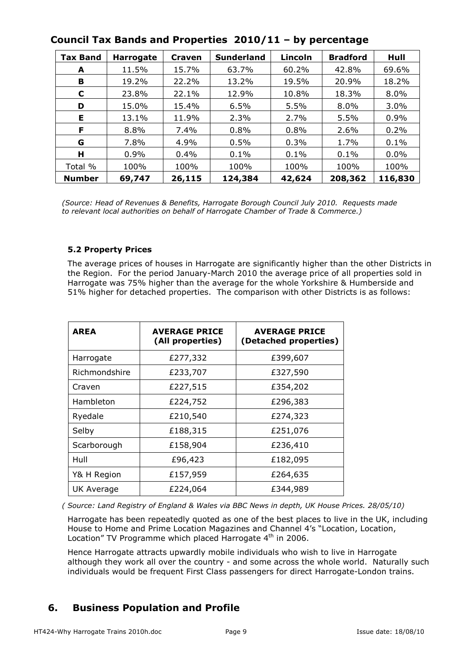| Tax Band      | <b>Harrogate</b> | Craven | <b>Sunderland</b> | Lincoln | <b>Bradford</b> | Hull    |
|---------------|------------------|--------|-------------------|---------|-----------------|---------|
| A             | 11.5%            | 15.7%  | 63.7%             | 60.2%   | 42.8%           | 69.6%   |
| в             | 19.2%            | 22.2%  | 13.2%             | 19.5%   | 20.9%           | 18.2%   |
| C             | 23.8%            | 22.1%  | 12.9%             | 10.8%   | 18.3%           | 8.0%    |
| D             | 15.0%            | 15.4%  | 6.5%              | 5.5%    | 8.0%            | 3.0%    |
| Е             | 13.1%            | 11.9%  | 2.3%              | 2.7%    | 5.5%            | 0.9%    |
| F             | 8.8%             | 7.4%   | 0.8%              | 0.8%    | 2.6%            | 0.2%    |
| G             | 7.8%             | 4.9%   | 0.5%              | 0.3%    | 1.7%            | 0.1%    |
| н             | 0.9%             | 0.4%   | 0.1%              | 0.1%    | 0.1%            | 0.0%    |
| Total %       | 100%             | 100%   | 100%              | 100%    | 100%            | 100%    |
| <b>Number</b> | 69,747           | 26,115 | 124,384           | 42,624  | 208,362         | 116,830 |

## **Council Tax Bands and Properties 2010/11 – by percentage**

*(Source: Head of Revenues & Benefits, Harrogate Borough Council July 2010. Requests made to relevant local authorities on behalf of Harrogate Chamber of Trade & Commerce.)* 

#### **5.2 Property Prices**

The average prices of houses in Harrogate are significantly higher than the other Districts in the Region. For the period January-March 2010 the average price of all properties sold in Harrogate was 75% higher than the average for the whole Yorkshire & Humberside and 51% higher for detached properties. The comparison with other Districts is as follows:

| <b>AREA</b>   | <b>AVERAGE PRICE</b><br>(All properties) | <b>AVERAGE PRICE</b><br>(Detached properties) |
|---------------|------------------------------------------|-----------------------------------------------|
| Harrogate     | £277,332                                 | £399,607                                      |
| Richmondshire | £233,707                                 | £327,590                                      |
| Craven        | £227,515                                 | £354,202                                      |
| Hambleton     | £224,752                                 | £296,383                                      |
| Ryedale       | £210,540                                 | £274,323                                      |
| Selby         | £188,315                                 | £251,076                                      |
| Scarborough   | £158,904                                 | £236,410                                      |
| Hull          | £96,423                                  | £182,095                                      |
| Y& H Region   | £157,959                                 | £264,635                                      |
| UK Average    | £224,064                                 | £344,989                                      |

*( Source: Land Registry of England & Wales via BBC News in depth, UK House Prices. 28/05/10)* 

Harrogate has been repeatedly quoted as one of the best places to live in the UK, including House to Home and Prime Location Magazines and Channel 4's "Location, Location, Location" TV Programme which placed Harrogate 4<sup>th</sup> in 2006.

Hence Harrogate attracts upwardly mobile individuals who wish to live in Harrogate although they work all over the country - and some across the whole world. Naturally such individuals would be frequent First Class passengers for direct Harrogate-London trains.

## **6. Business Population and Profile**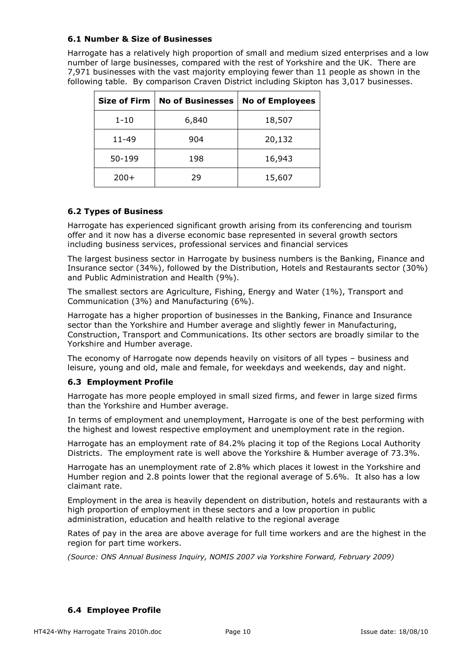#### **6.1 Number & Size of Businesses**

Harrogate has a relatively high proportion of small and medium sized enterprises and a low number of large businesses, compared with the rest of Yorkshire and the UK. There are 7,971 businesses with the vast majority employing fewer than 11 people as shown in the following table. By comparison Craven District including Skipton has 3,017 businesses.

| <b>Size of Firm</b> | <b>No of Businesses</b> | <b>No of Employees</b> |
|---------------------|-------------------------|------------------------|
| $1 - 10$            | 6,840                   | 18,507                 |
| 11-49               | 904                     | 20,132                 |
| 50-199              | 198                     | 16,943                 |
| $200+$              | 29                      | 15,607                 |

#### **6.2 Types of Business**

Harrogate has experienced significant growth arising from its conferencing and tourism offer and it now has a diverse economic base represented in several growth sectors including business services, professional services and financial services

The largest business sector in Harrogate by business numbers is the Banking, Finance and Insurance sector (34%), followed by the Distribution, Hotels and Restaurants sector (30%) and Public Administration and Health (9%).

The smallest sectors are Agriculture, Fishing, Energy and Water (1%), Transport and Communication (3%) and Manufacturing (6%).

Harrogate has a higher proportion of businesses in the Banking, Finance and Insurance sector than the Yorkshire and Humber average and slightly fewer in Manufacturing, Construction, Transport and Communications. Its other sectors are broadly similar to the Yorkshire and Humber average.

The economy of Harrogate now depends heavily on visitors of all types – business and leisure, young and old, male and female, for weekdays and weekends, day and night.

#### **6.3 Employment Profile**

Harrogate has more people employed in small sized firms, and fewer in large sized firms than the Yorkshire and Humber average.

In terms of employment and unemployment, Harrogate is one of the best performing with the highest and lowest respective employment and unemployment rate in the region.

Harrogate has an employment rate of 84.2% placing it top of the Regions Local Authority Districts. The employment rate is well above the Yorkshire & Humber average of 73.3%.

Harrogate has an unemployment rate of 2.8% which places it lowest in the Yorkshire and Humber region and 2.8 points lower that the regional average of 5.6%. It also has a low claimant rate.

Employment in the area is heavily dependent on distribution, hotels and restaurants with a high proportion of employment in these sectors and a low proportion in public administration, education and health relative to the regional average

Rates of pay in the area are above average for full time workers and are the highest in the region for part time workers.

*(Source: ONS Annual Business Inquiry, NOMIS 2007 via Yorkshire Forward, February 2009)* 

#### **6.4 Employee Profile**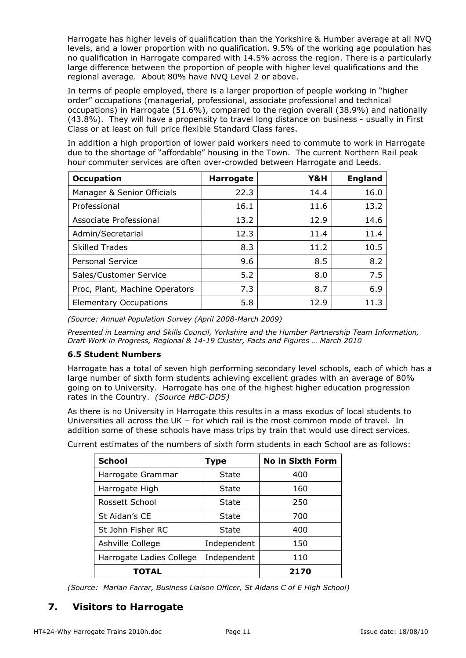Harrogate has higher levels of qualification than the Yorkshire & Humber average at all NVQ levels, and a lower proportion with no qualification. 9.5% of the working age population has no qualification in Harrogate compared with 14.5% across the region. There is a particularly large difference between the proportion of people with higher level qualifications and the regional average. About 80% have NVQ Level 2 or above.

In terms of people employed, there is a larger proportion of people working in "higher order" occupations (managerial, professional, associate professional and technical occupations) in Harrogate (51.6%), compared to the region overall (38.9%) and nationally (43.8%). They will have a propensity to travel long distance on business - usually in First Class or at least on full price flexible Standard Class fares.

In addition a high proportion of lower paid workers need to commute to work in Harrogate due to the shortage of "affordable" housing in the Town. The current Northern Rail peak hour commuter services are often over-crowded between Harrogate and Leeds.

| <b>Occupation</b>              | <b>Harrogate</b> | Y&H  | <b>England</b> |
|--------------------------------|------------------|------|----------------|
| Manager & Senior Officials     | 22.3             | 14.4 | 16.0           |
| Professional                   | 16.1             | 11.6 | 13.2           |
| Associate Professional         | 13.2             | 12.9 | 14.6           |
| Admin/Secretarial              | 12.3             | 11.4 | 11.4           |
| <b>Skilled Trades</b>          | 8.3              | 11.2 | 10.5           |
| <b>Personal Service</b>        | 9.6              | 8.5  | 8.2            |
| Sales/Customer Service         | 5.2              | 8.0  | 7.5            |
| Proc, Plant, Machine Operators | 7.3              | 8.7  | 6.9            |
| <b>Elementary Occupations</b>  | 5.8              | 12.9 | 11.3           |

*(Source: Annual Population Survey (April 2008-March 2009)* 

*Presented in Learning and Skills Council, Yorkshire and the Humber Partnership Team Information, Draft Work in Progress, Regional & 14-19 Cluster, Facts and Figures … March 2010* 

#### **6.5 Student Numbers**

Harrogate has a total of seven high performing secondary level schools, each of which has a large number of sixth form students achieving excellent grades with an average of 80% going on to University. Harrogate has one of the highest higher education progression rates in the Country. *(Source HBC-DDS)*

As there is no University in Harrogate this results in a mass exodus of local students to Universities all across the UK – for which rail is the most common mode of travel. In addition some of these schools have mass trips by train that would use direct services.

| <b>School</b>            | Type        | <b>No in Sixth Form</b> |
|--------------------------|-------------|-------------------------|
| Harrogate Grammar        | State       | 400                     |
| Harrogate High           | State       | 160                     |
| Rossett School           | State       | 250                     |
| St Aidan's CE            | State       | 700                     |
| St John Fisher RC        | State       | 400                     |
| Ashville College         | Independent | 150                     |
| Harrogate Ladies College | Independent | 110                     |
| TOTAL                    |             | 2170                    |

Current estimates of the numbers of sixth form students in each School are as follows:

*(Source: Marian Farrar, Business Liaison Officer, St Aidans C of E High School)* 

## **7. Visitors to Harrogate**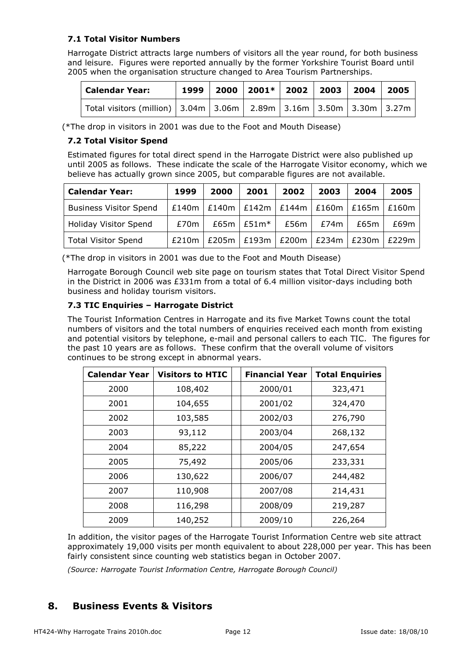#### **7.1 Total Visitor Numbers**

Harrogate District attracts large numbers of visitors all the year round, for both business and leisure. Figures were reported annually by the former Yorkshire Tourist Board until 2005 when the organisation structure changed to Area Tourism Partnerships.

| <b>Calendar Year:</b>                                                            |  | $1999$   2000   2001*   2002   2003   2004   2005 |  |  |
|----------------------------------------------------------------------------------|--|---------------------------------------------------|--|--|
| Total visitors (million)   3.04m   3.06m   2.89m   3.16m   3.50m   3.30m   3.27m |  |                                                   |  |  |

(\*The drop in visitors in 2001 was due to the Foot and Mouth Disease)

#### **7.2 Total Visitor Spend**

Estimated figures for total direct spend in the Harrogate District were also published up until 2005 as follows. These indicate the scale of the Harrogate Visitor economy, which we believe has actually grown since 2005, but comparable figures are not available.

| <b>Calendar Year:</b>         | 1999  | 2000 | 2001           | 2002                                | 2003        | 2004                                                  | 2005  |
|-------------------------------|-------|------|----------------|-------------------------------------|-------------|-------------------------------------------------------|-------|
| <b>Business Visitor Spend</b> |       |      |                |                                     |             | £140m   £140m   £142m   £144m   £160m   £165m   £160m |       |
| <b>Holiday Visitor Spend</b>  | £70m  |      | $£65m$ $£51m*$ |                                     | £56m   £74m | £65m                                                  | £69m  |
| <b>Total Visitor Spend</b>    | £210m |      |                | $£205m$ $E193m$ $E200m$ $E234m$ $E$ |             | £230m                                                 | F229m |

(\*The drop in visitors in 2001 was due to the Foot and Mouth Disease)

Harrogate Borough Council web site page on tourism states that Total Direct Visitor Spend in the District in 2006 was £331m from a total of 6.4 million visitor-days including both business and holiday tourism visitors.

#### **7.3 TIC Enquiries – Harrogate District**

The Tourist Information Centres in Harrogate and its five Market Towns count the total numbers of visitors and the total numbers of enquiries received each month from existing and potential visitors by telephone, e-mail and personal callers to each TIC. The figures for the past 10 years are as follows. These confirm that the overall volume of visitors continues to be strong except in abnormal years.

| <b>Calendar Year</b> | <b>Visitors to HTIC</b> | <b>Financial Year</b> | <b>Total Enquiries</b> |
|----------------------|-------------------------|-----------------------|------------------------|
| 2000                 | 108,402                 | 2000/01               | 323,471                |
| 2001                 | 104,655                 | 2001/02               | 324,470                |
| 2002                 | 103,585                 | 2002/03               | 276,790                |
| 2003                 | 93,112                  | 2003/04               | 268,132                |
| 2004                 | 85,222                  | 2004/05               | 247,654                |
| 2005                 | 75,492                  | 2005/06               | 233,331                |
| 2006                 | 130,622                 | 2006/07               | 244,482                |
| 2007                 | 110,908                 | 2007/08               | 214,431                |
| 2008                 | 116,298                 | 2008/09               | 219,287                |
| 2009                 | 140,252                 | 2009/10               | 226,264                |

In addition, the visitor pages of the Harrogate Tourist Information Centre web site attract approximately 19,000 visits per month equivalent to about 228,000 per year. This has been fairly consistent since counting web statistics began in October 2007.

*(Source: Harrogate Tourist Information Centre, Harrogate Borough Council)* 

## **8. Business Events & Visitors**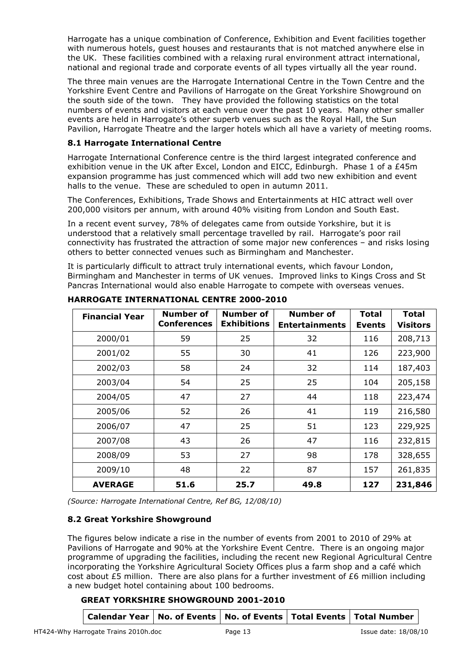Harrogate has a unique combination of Conference, Exhibition and Event facilities together with numerous hotels, guest houses and restaurants that is not matched anywhere else in the UK. These facilities combined with a relaxing rural environment attract international, national and regional trade and corporate events of all types virtually all the year round.

The three main venues are the Harrogate International Centre in the Town Centre and the Yorkshire Event Centre and Pavilions of Harrogate on the Great Yorkshire Showground on the south side of the town. They have provided the following statistics on the total numbers of events and visitors at each venue over the past 10 years. Many other smaller events are held in Harrogate's other superb venues such as the Royal Hall, the Sun Pavilion, Harrogate Theatre and the larger hotels which all have a variety of meeting rooms.

#### **8.1 Harrogate International Centre**

Harrogate International Conference centre is the third largest integrated conference and exhibition venue in the UK after Excel, London and EICC, Edinburgh. Phase 1 of a £45m expansion programme has just commenced which will add two new exhibition and event halls to the venue. These are scheduled to open in autumn 2011.

The Conferences, Exhibitions, Trade Shows and Entertainments at HIC attract well over 200,000 visitors per annum, with around 40% visiting from London and South East.

In a recent event survey, 78% of delegates came from outside Yorkshire, but it is understood that a relatively small percentage travelled by rail. Harrogate's poor rail connectivity has frustrated the attraction of some major new conferences – and risks losing others to better connected venues such as Birmingham and Manchester.

It is particularly difficult to attract truly international events, which favour London, Birmingham and Manchester in terms of UK venues. Improved links to Kings Cross and St Pancras International would also enable Harrogate to compete with overseas venues.

| <b>Financial Year</b> | <b>Number of</b><br><b>Conferences</b> | Number of<br><b>Exhibitions</b> | <b>Number of</b><br><b>Entertainments</b> | <b>Total</b><br><b>Events</b> | <b>Total</b><br><b>Visitors</b> |
|-----------------------|----------------------------------------|---------------------------------|-------------------------------------------|-------------------------------|---------------------------------|
| 2000/01               | 59                                     | 25                              | 32                                        | 116                           | 208,713                         |
| 2001/02               | 55                                     | 30                              | 41                                        | 126                           | 223,900                         |
| 2002/03               | 58                                     | 24                              | 32                                        | 114                           | 187,403                         |
| 2003/04               | 54                                     | 25                              | 25                                        | 104                           | 205,158                         |
| 2004/05               | 47                                     | 27                              | 44                                        | 118                           | 223,474                         |
| 2005/06               | 52                                     | 26                              | 41                                        | 119                           | 216,580                         |
| 2006/07               | 47                                     | 25                              | 51                                        | 123                           | 229,925                         |
| 2007/08               | 43                                     | 26                              | 47                                        | 116                           | 232,815                         |
| 2008/09               | 53                                     | 27                              | 98                                        | 178                           | 328,655                         |
| 2009/10               | 48                                     | 22                              | 87                                        | 157                           | 261,835                         |
| <b>AVERAGE</b>        | 51.6                                   | 25.7                            | 49.8                                      | 127                           | 231,846                         |

**HARROGATE INTERNATIONAL CENTRE 2000-2010** 

*(Source: Harrogate International Centre, Ref BG, 12/08/10)* 

#### **8.2 Great Yorkshire Showground**

The figures below indicate a rise in the number of events from 2001 to 2010 of 29% at Pavilions of Harrogate and 90% at the Yorkshire Event Centre. There is an ongoing major programme of upgrading the facilities, including the recent new Regional Agricultural Centre incorporating the Yorkshire Agricultural Society Offices plus a farm shop and a café which cost about £5 million. There are also plans for a further investment of £6 million including a new budget hotel containing about 100 bedrooms.

#### **GREAT YORKSHIRE SHOWGROUND 2001-2010**

| Calendar Year   No. of Events   No. of Events   Total Events   Total Number |  |  |  |
|-----------------------------------------------------------------------------|--|--|--|
|-----------------------------------------------------------------------------|--|--|--|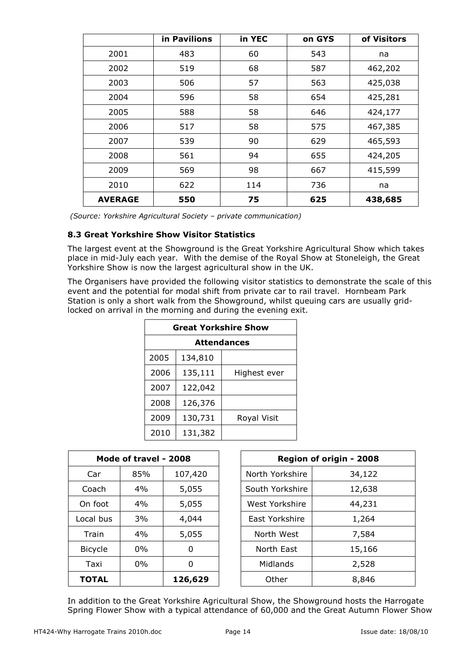|                | in Pavilions | in YEC | on GYS | of Visitors |
|----------------|--------------|--------|--------|-------------|
| 2001           | 483          | 60     | 543    | na          |
| 2002           | 519          | 68     | 587    | 462,202     |
| 2003           | 506          | 57     | 563    | 425,038     |
| 2004           | 596          | 58     | 654    | 425,281     |
| 2005           | 588          | 58     | 646    | 424,177     |
| 2006           | 517          | 58     | 575    | 467,385     |
| 2007           | 539          | 90     | 629    | 465,593     |
| 2008           | 561          | 94     | 655    | 424,205     |
| 2009           | 569          | 98     | 667    | 415,599     |
| 2010           | 622          | 114    | 736    | na          |
| <b>AVERAGE</b> | 550          | 75     | 625    | 438,685     |

 *(Source: Yorkshire Agricultural Society – private communication)* 

#### **8.3 Great Yorkshire Show Visitor Statistics**

The largest event at the Showground is the Great Yorkshire Agricultural Show which takes place in mid-July each year. With the demise of the Royal Show at Stoneleigh, the Great Yorkshire Show is now the largest agricultural show in the UK.

The Organisers have provided the following visitor statistics to demonstrate the scale of this event and the potential for modal shift from private car to rail travel. Hornbeam Park Station is only a short walk from the Showground, whilst queuing cars are usually gridlocked on arrival in the morning and during the evening exit.

| <b>Great Yorkshire Show</b> |         |              |  |  |  |  |
|-----------------------------|---------|--------------|--|--|--|--|
| <b>Attendances</b>          |         |              |  |  |  |  |
| 2005                        | 134,810 |              |  |  |  |  |
| 2006                        | 135,111 | Highest ever |  |  |  |  |
| 2007                        | 122,042 |              |  |  |  |  |
| 2008                        | 126,376 |              |  |  |  |  |
| 2009                        | 130,731 | Royal Visit  |  |  |  |  |
| 2010                        | 131,382 |              |  |  |  |  |

| Mode of travel - 2008 |       |         | Region of origin - 2008 |        |
|-----------------------|-------|---------|-------------------------|--------|
| Car                   | 85%   | 107,420 | North Yorkshire         | 34,122 |
| Coach                 | $4\%$ | 5,055   | South Yorkshire         | 12,638 |
| On foot               | 4%    | 5,055   | West Yorkshire          | 44,231 |
| Local bus             | 3%    | 4,044   | East Yorkshire          | 1,264  |
| Train                 | 4%    | 5,055   | North West              | 7,584  |
| <b>Bicycle</b>        | $0\%$ | 0       | North East              | 15,166 |
| Taxi                  | $0\%$ | 0       | Midlands                | 2,528  |
| <b>TOTAL</b>          |       | 126,629 | Other                   | 8,846  |

In addition to the Great Yorkshire Agricultural Show, the Showground hosts the Harrogate Spring Flower Show with a typical attendance of 60,000 and the Great Autumn Flower Show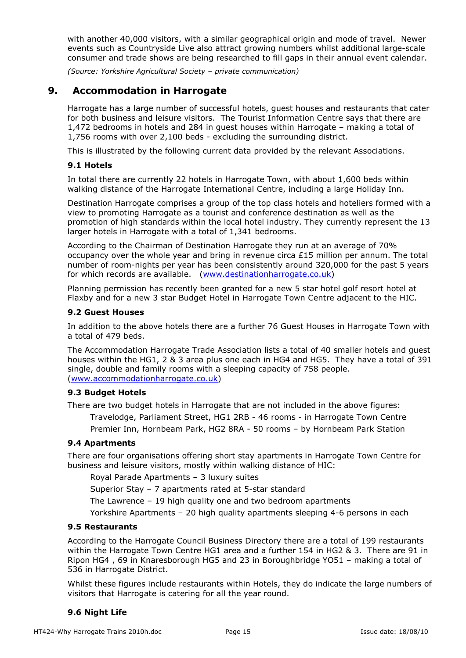with another 40,000 visitors, with a similar geographical origin and mode of travel. Newer events such as Countryside Live also attract growing numbers whilst additional large-scale consumer and trade shows are being researched to fill gaps in their annual event calendar.

*(Source: Yorkshire Agricultural Society – private communication)* 

### **9. Accommodation in Harrogate**

Harrogate has a large number of successful hotels, guest houses and restaurants that cater for both business and leisure visitors. The Tourist Information Centre says that there are 1,472 bedrooms in hotels and 284 in guest houses within Harrogate – making a total of 1,756 rooms with over 2,100 beds - excluding the surrounding district.

This is illustrated by the following current data provided by the relevant Associations.

#### **9.1 Hotels**

In total there are currently 22 hotels in Harrogate Town, with about 1,600 beds within walking distance of the Harrogate International Centre, including a large Holiday Inn.

Destination Harrogate comprises a group of the top class hotels and hoteliers formed with a view to promoting Harrogate as a tourist and conference destination as well as the promotion of high standards within the local hotel industry. They currently represent the 13 larger hotels in Harrogate with a total of 1,341 bedrooms.

According to the Chairman of Destination Harrogate they run at an average of 70% occupancy over the whole year and bring in revenue circa £15 million per annum. The total number of room-nights per year has been consistently around 320,000 for the past 5 years for which records are available. (www.destinationharrogate.co.uk)

Planning permission has recently been granted for a new 5 star hotel golf resort hotel at Flaxby and for a new 3 star Budget Hotel in Harrogate Town Centre adjacent to the HIC.

#### **9.2 Guest Houses**

In addition to the above hotels there are a further 76 Guest Houses in Harrogate Town with a total of 479 beds.

The Accommodation Harrogate Trade Association lists a total of 40 smaller hotels and guest houses within the HG1, 2 & 3 area plus one each in HG4 and HG5. They have a total of 391 single, double and family rooms with a sleeping capacity of 758 people. (www.accommodationharrogate.co.uk)

#### **9.3 Budget Hotels**

There are two budget hotels in Harrogate that are not included in the above figures:

Travelodge, Parliament Street, HG1 2RB - 46 rooms - in Harrogate Town Centre

Premier Inn, Hornbeam Park, HG2 8RA - 50 rooms – by Hornbeam Park Station

#### **9.4 Apartments**

There are four organisations offering short stay apartments in Harrogate Town Centre for business and leisure visitors, mostly within walking distance of HIC:

Royal Parade Apartments – 3 luxury suites

Superior Stay – 7 apartments rated at 5-star standard

The Lawrence – 19 high quality one and two bedroom apartments

Yorkshire Apartments – 20 high quality apartments sleeping 4-6 persons in each

#### **9.5 Restaurants**

According to the Harrogate Council Business Directory there are a total of 199 restaurants within the Harrogate Town Centre HG1 area and a further 154 in HG2 & 3. There are 91 in Ripon HG4 , 69 in Knaresborough HG5 and 23 in Boroughbridge YO51 – making a total of 536 in Harrogate District.

Whilst these figures include restaurants within Hotels, they do indicate the large numbers of visitors that Harrogate is catering for all the year round.

#### **9.6 Night Life**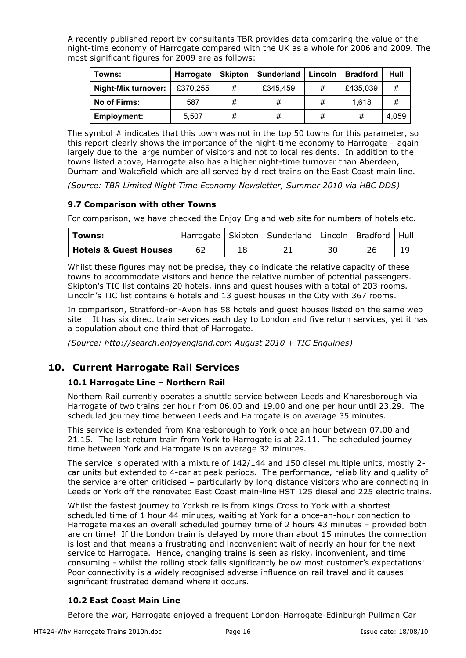A recently published report by consultants TBR provides data comparing the value of the night-time economy of Harrogate compared with the UK as a whole for 2006 and 2009. The most significant figures for 2009 are as follows:

| Towns:              | Harrogate | <b>Skipton</b> | <b>Sunderland</b> | Lincoln | <b>Bradford</b> | Hull  |
|---------------------|-----------|----------------|-------------------|---------|-----------------|-------|
| Night-Mix turnover: | £370,255  | #              | £345,459          | #       | £435,039        | #     |
| No of Firms:        | 587       | #              | #                 | #       | 1,618           | #     |
| <b>Employment:</b>  | 5.507     | #              | #                 | #       | #               | 4.059 |

The symbol # indicates that this town was not in the top 50 towns for this parameter, so this report clearly shows the importance of the night-time economy to Harrogate – again largely due to the large number of visitors and not to local residents. In addition to the towns listed above, Harrogate also has a higher night-time turnover than Aberdeen, Durham and Wakefield which are all served by direct trains on the East Coast main line.

*(Source: TBR Limited Night Time Economy Newsletter, Summer 2010 via HBC DDS)* 

#### **9.7 Comparison with other Towns**

For comparison, we have checked the Enjoy England web site for numbers of hotels etc.

| Towns:                           |  | Harrogate   Skipton   Sunderland   Lincoln   Bradford   Hull |    |  |
|----------------------------------|--|--------------------------------------------------------------|----|--|
| <b>Hotels &amp; Guest Houses</b> |  |                                                              | 30 |  |

Whilst these figures may not be precise, they do indicate the relative capacity of these towns to accommodate visitors and hence the relative number of potential passengers. Skipton's TIC list contains 20 hotels, inns and guest houses with a total of 203 rooms. Lincoln's TIC list contains 6 hotels and 13 guest houses in the City with 367 rooms.

In comparison, Stratford-on-Avon has 58 hotels and guest houses listed on the same web site. It has six direct train services each day to London and five return services, yet it has a population about one third that of Harrogate.

*(Source: http://search.enjoyengland.com August 2010 + TIC Enquiries)* 

## **10. Current Harrogate Rail Services**

#### **10.1 Harrogate Line – Northern Rail**

Northern Rail currently operates a shuttle service between Leeds and Knaresborough via Harrogate of two trains per hour from 06.00 and 19.00 and one per hour until 23.29. The scheduled journey time between Leeds and Harrogate is on average 35 minutes.

This service is extended from Knaresborough to York once an hour between 07.00 and 21.15. The last return train from York to Harrogate is at 22.11. The scheduled journey time between York and Harrogate is on average 32 minutes.

The service is operated with a mixture of 142/144 and 150 diesel multiple units, mostly 2 car units but extended to 4-car at peak periods. The performance, reliability and quality of the service are often criticised – particularly by long distance visitors who are connecting in Leeds or York off the renovated East Coast main-line HST 125 diesel and 225 electric trains.

Whilst the fastest journey to Yorkshire is from Kings Cross to York with a shortest scheduled time of 1 hour 44 minutes, waiting at York for a once-an-hour connection to Harrogate makes an overall scheduled journey time of 2 hours 43 minutes – provided both are on time! If the London train is delayed by more than about 15 minutes the connection is lost and that means a frustrating and inconvenient wait of nearly an hour for the next service to Harrogate. Hence, changing trains is seen as risky, inconvenient, and time consuming - whilst the rolling stock falls significantly below most customer's expectations! Poor connectivity is a widely recognised adverse influence on rail travel and it causes significant frustrated demand where it occurs.

#### **10.2 East Coast Main Line**

Before the war, Harrogate enjoyed a frequent London-Harrogate-Edinburgh Pullman Car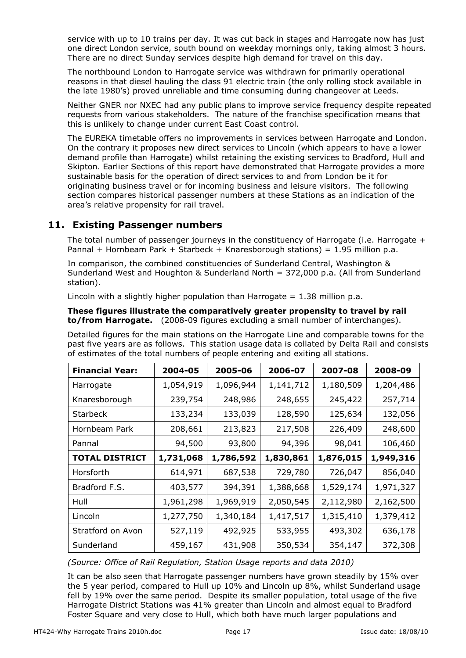service with up to 10 trains per day. It was cut back in stages and Harrogate now has just one direct London service, south bound on weekday mornings only, taking almost 3 hours. There are no direct Sunday services despite high demand for travel on this day.

The northbound London to Harrogate service was withdrawn for primarily operational reasons in that diesel hauling the class 91 electric train (the only rolling stock available in the late 1980's) proved unreliable and time consuming during changeover at Leeds.

Neither GNER nor NXEC had any public plans to improve service frequency despite repeated requests from various stakeholders. The nature of the franchise specification means that this is unlikely to change under current East Coast control.

The EUREKA timetable offers no improvements in services between Harrogate and London. On the contrary it proposes new direct services to Lincoln (which appears to have a lower demand profile than Harrogate) whilst retaining the existing services to Bradford, Hull and Skipton. Earlier Sections of this report have demonstrated that Harrogate provides a more sustainable basis for the operation of direct services to and from London be it for originating business travel or for incoming business and leisure visitors. The following section compares historical passenger numbers at these Stations as an indication of the area's relative propensity for rail travel.

## **11. Existing Passenger numbers**

The total number of passenger journeys in the constituency of Harrogate (i.e. Harrogate  $+$ Pannal + Hornbeam Park + Starbeck + Knaresborough stations) =  $1.95$  million p.a.

In comparison, the combined constituencies of Sunderland Central, Washington & Sunderland West and Houghton & Sunderland North = 372,000 p.a. (All from Sunderland station).

Lincoln with a slightly higher population than Harrogate =  $1.38$  million p.a.

#### **These figures illustrate the comparatively greater propensity to travel by rail to/from Harrogate.** (2008-09 figures excluding a small number of interchanges).

Detailed figures for the main stations on the Harrogate Line and comparable towns for the past five years are as follows. This station usage data is collated by Delta Rail and consists of estimates of the total numbers of people entering and exiting all stations.

| <b>Financial Year:</b> | 2004-05   | 2005-06   | 2006-07   | 2007-08   | 2008-09   |
|------------------------|-----------|-----------|-----------|-----------|-----------|
| Harrogate              | 1,054,919 | 1,096,944 | 1,141,712 | 1,180,509 | 1,204,486 |
| Knaresborough          | 239,754   | 248,986   | 248,655   | 245,422   | 257,714   |
| <b>Starbeck</b>        | 133,234   | 133,039   | 128,590   | 125,634   | 132,056   |
| Hornbeam Park          | 208,661   | 213,823   | 217,508   | 226,409   | 248,600   |
| Pannal                 | 94,500    | 93,800    | 94,396    | 98,041    | 106,460   |
| <b>TOTAL DISTRICT</b>  | 1,731,068 | 1,786,592 | 1,830,861 | 1,876,015 | 1,949,316 |
| Horsforth              | 614,971   | 687,538   | 729,780   | 726,047   | 856,040   |
| Bradford F.S.          | 403,577   | 394,391   | 1,388,668 | 1,529,174 | 1,971,327 |
| Hull                   | 1,961,298 | 1,969,919 | 2,050,545 | 2,112,980 | 2,162,500 |
| Lincoln                | 1,277,750 | 1,340,184 | 1,417,517 | 1,315,410 | 1,379,412 |
| Stratford on Avon      | 527,119   | 492,925   | 533,955   | 493,302   | 636,178   |
| Sunderland             | 459,167   | 431,908   | 350,534   | 354,147   | 372,308   |

*(Source: Office of Rail Regulation, Station Usage reports and data 2010)* 

It can be also seen that Harrogate passenger numbers have grown steadily by 15% over the 5 year period, compared to Hull up 10% and Lincoln up 8%, whilst Sunderland usage fell by 19% over the same period. Despite its smaller population, total usage of the five Harrogate District Stations was 41% greater than Lincoln and almost equal to Bradford Foster Square and very close to Hull, which both have much larger populations and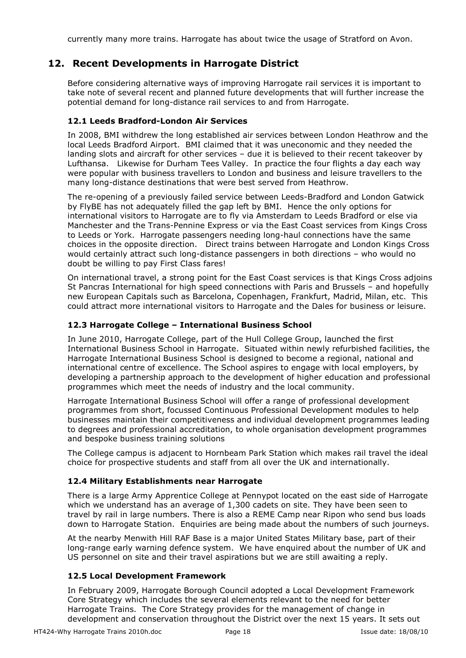currently many more trains. Harrogate has about twice the usage of Stratford on Avon.

## **12. Recent Developments in Harrogate District**

Before considering alternative ways of improving Harrogate rail services it is important to take note of several recent and planned future developments that will further increase the potential demand for long-distance rail services to and from Harrogate.

#### **12.1 Leeds Bradford-London Air Services**

In 2008, BMI withdrew the long established air services between London Heathrow and the local Leeds Bradford Airport. BMI claimed that it was uneconomic and they needed the landing slots and aircraft for other services – due it is believed to their recent takeover by Lufthansa. Likewise for Durham Tees Valley. In practice the four flights a day each way were popular with business travellers to London and business and leisure travellers to the many long-distance destinations that were best served from Heathrow.

The re-opening of a previously failed service between Leeds-Bradford and London Gatwick by FlyBE has not adequately filled the gap left by BMI. Hence the only options for international visitors to Harrogate are to fly via Amsterdam to Leeds Bradford or else via Manchester and the Trans-Pennine Express or via the East Coast services from Kings Cross to Leeds or York. Harrogate passengers needing long-haul connections have the same choices in the opposite direction. Direct trains between Harrogate and London Kings Cross would certainly attract such long-distance passengers in both directions – who would no doubt be willing to pay First Class fares!

On international travel, a strong point for the East Coast services is that Kings Cross adjoins St Pancras International for high speed connections with Paris and Brussels – and hopefully new European Capitals such as Barcelona, Copenhagen, Frankfurt, Madrid, Milan, etc. This could attract more international visitors to Harrogate and the Dales for business or leisure.

#### **12.3 Harrogate College – International Business School**

In June 2010, Harrogate College, part of the Hull College Group, launched the first International Business School in Harrogate. Situated within newly refurbished facilities, the Harrogate International Business School is designed to become a regional, national and international centre of excellence. The School aspires to engage with local employers, by developing a partnership approach to the development of higher education and professional programmes which meet the needs of industry and the local community.

Harrogate International Business School will offer a range of professional development programmes from short, focussed Continuous Professional Development modules to help businesses maintain their competitiveness and individual development programmes leading to degrees and professional accreditation, to whole organisation development programmes and bespoke business training solutions

The College campus is adjacent to Hornbeam Park Station which makes rail travel the ideal choice for prospective students and staff from all over the UK and internationally.

#### **12.4 Military Establishments near Harrogate**

There is a large Army Apprentice College at Pennypot located on the east side of Harrogate which we understand has an average of 1,300 cadets on site. They have been seen to travel by rail in large numbers. There is also a REME Camp near Ripon who send bus loads down to Harrogate Station. Enquiries are being made about the numbers of such journeys.

At the nearby Menwith Hill RAF Base is a major United States Military base, part of their long-range early warning defence system. We have enquired about the number of UK and US personnel on site and their travel aspirations but we are still awaiting a reply.

#### **12.5 Local Development Framework**

In February 2009, Harrogate Borough Council adopted a Local Development Framework Core Strategy which includes the several elements relevant to the need for better Harrogate Trains. The Core Strategy provides for the management of change in development and conservation throughout the District over the next 15 years. It sets out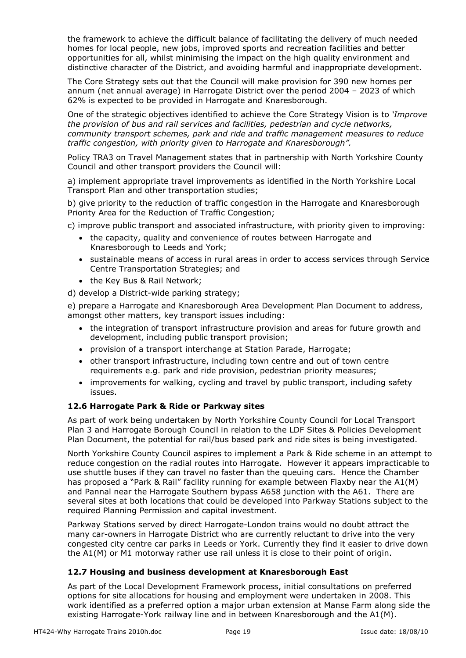the framework to achieve the difficult balance of facilitating the delivery of much needed homes for local people, new jobs, improved sports and recreation facilities and better opportunities for all, whilst minimising the impact on the high quality environment and distinctive character of the District, and avoiding harmful and inappropriate development.

The Core Strategy sets out that the Council will make provision for 390 new homes per annum (net annual average) in Harrogate District over the period 2004 – 2023 of which 62% is expected to be provided in Harrogate and Knaresborough.

One of the strategic objectives identified to achieve the Core Strategy Vision is to *'Improve the provision of bus and rail services and facilities, pedestrian and cycle networks, community transport schemes, park and ride and traffic management measures to reduce traffic congestion, with priority given to Harrogate and Knaresborough".* 

Policy TRA3 on Travel Management states that in partnership with North Yorkshire County Council and other transport providers the Council will:

a) implement appropriate travel improvements as identified in the North Yorkshire Local Transport Plan and other transportation studies;

b) give priority to the reduction of traffic congestion in the Harrogate and Knaresborough Priority Area for the Reduction of Traffic Congestion;

c) improve public transport and associated infrastructure, with priority given to improving:

- the capacity, quality and convenience of routes between Harrogate and Knaresborough to Leeds and York;
- sustainable means of access in rural areas in order to access services through Service Centre Transportation Strategies; and
- the Key Bus & Rail Network;

d) develop a District-wide parking strategy;

e) prepare a Harrogate and Knaresborough Area Development Plan Document to address, amongst other matters, key transport issues including:

- the integration of transport infrastructure provision and areas for future growth and development, including public transport provision;
- provision of a transport interchange at Station Parade, Harrogate;
- other transport infrastructure, including town centre and out of town centre requirements e.g. park and ride provision, pedestrian priority measures;
- improvements for walking, cycling and travel by public transport, including safety issues.

#### **12.6 Harrogate Park & Ride or Parkway sites**

As part of work being undertaken by North Yorkshire County Council for Local Transport Plan 3 and Harrogate Borough Council in relation to the LDF Sites & Policies Development Plan Document, the potential for rail/bus based park and ride sites is being investigated.

North Yorkshire County Council aspires to implement a Park & Ride scheme in an attempt to reduce congestion on the radial routes into Harrogate. However it appears impracticable to use shuttle buses if they can travel no faster than the queuing cars. Hence the Chamber has proposed a "Park & Rail" facility running for example between Flaxby near the A1(M) and Pannal near the Harrogate Southern bypass A658 junction with the A61. There are several sites at both locations that could be developed into Parkway Stations subject to the required Planning Permission and capital investment.

Parkway Stations served by direct Harrogate-London trains would no doubt attract the many car-owners in Harrogate District who are currently reluctant to drive into the very congested city centre car parks in Leeds or York. Currently they find it easier to drive down the A1(M) or M1 motorway rather use rail unless it is close to their point of origin.

#### **12.7 Housing and business development at Knaresborough East**

As part of the Local Development Framework process, initial consultations on preferred options for site allocations for housing and employment were undertaken in 2008. This work identified as a preferred option a major urban extension at Manse Farm along side the existing Harrogate-York railway line and in between Knaresborough and the A1(M).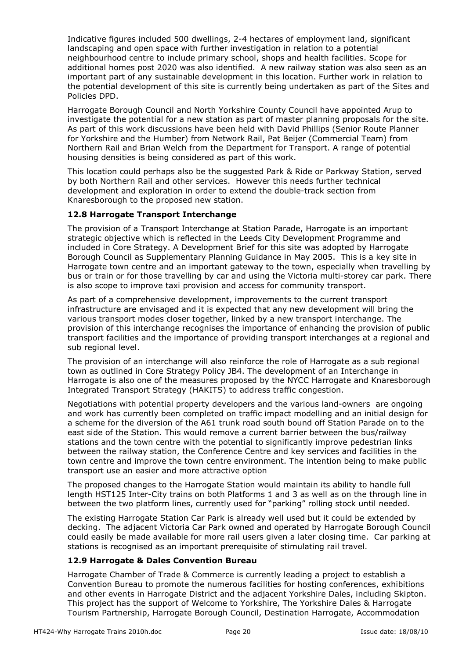Indicative figures included 500 dwellings, 2-4 hectares of employment land, significant landscaping and open space with further investigation in relation to a potential neighbourhood centre to include primary school, shops and health facilities. Scope for additional homes post 2020 was also identified. A new railway station was also seen as an important part of any sustainable development in this location. Further work in relation to the potential development of this site is currently being undertaken as part of the Sites and Policies DPD.

Harrogate Borough Council and North Yorkshire County Council have appointed Arup to investigate the potential for a new station as part of master planning proposals for the site. As part of this work discussions have been held with David Phillips (Senior Route Planner for Yorkshire and the Humber) from Network Rail, Pat Beijer (Commercial Team) from Northern Rail and Brian Welch from the Department for Transport. A range of potential housing densities is being considered as part of this work.

This location could perhaps also be the suggested Park & Ride or Parkway Station, served by both Northern Rail and other services. However this needs further technical development and exploration in order to extend the double-track section from Knaresborough to the proposed new station.

#### **12.8 Harrogate Transport Interchange**

The provision of a Transport Interchange at Station Parade, Harrogate is an important strategic objective which is reflected in the Leeds City Development Programme and included in Core Strategy. A Development Brief for this site was adopted by Harrogate Borough Council as Supplementary Planning Guidance in May 2005. This is a key site in Harrogate town centre and an important gateway to the town, especially when travelling by bus or train or for those travelling by car and using the Victoria multi-storey car park. There is also scope to improve taxi provision and access for community transport.

As part of a comprehensive development, improvements to the current transport infrastructure are envisaged and it is expected that any new development will bring the various transport modes closer together, linked by a new transport interchange. The provision of this interchange recognises the importance of enhancing the provision of public transport facilities and the importance of providing transport interchanges at a regional and sub regional level.

The provision of an interchange will also reinforce the role of Harrogate as a sub regional town as outlined in Core Strategy Policy JB4. The development of an Interchange in Harrogate is also one of the measures proposed by the NYCC Harrogate and Knaresborough Integrated Transport Strategy (HAKITS) to address traffic congestion.

Negotiations with potential property developers and the various land-owners are ongoing and work has currently been completed on traffic impact modelling and an initial design for a scheme for the diversion of the A61 trunk road south bound off Station Parade on to the east side of the Station. This would remove a current barrier between the bus/railway stations and the town centre with the potential to significantly improve pedestrian links between the railway station, the Conference Centre and key services and facilities in the town centre and improve the town centre environment. The intention being to make public transport use an easier and more attractive option

The proposed changes to the Harrogate Station would maintain its ability to handle full length HST125 Inter-City trains on both Platforms 1 and 3 as well as on the through line in between the two platform lines, currently used for "parking" rolling stock until needed.

The existing Harrogate Station Car Park is already well used but it could be extended by decking. The adjacent Victoria Car Park owned and operated by Harrogate Borough Council could easily be made available for more rail users given a later closing time. Car parking at stations is recognised as an important prerequisite of stimulating rail travel.

#### **12.9 Harrogate & Dales Convention Bureau**

Harrogate Chamber of Trade & Commerce is currently leading a project to establish a Convention Bureau to promote the numerous facilities for hosting conferences, exhibitions and other events in Harrogate District and the adjacent Yorkshire Dales, including Skipton. This project has the support of Welcome to Yorkshire, The Yorkshire Dales & Harrogate Tourism Partnership, Harrogate Borough Council, Destination Harrogate, Accommodation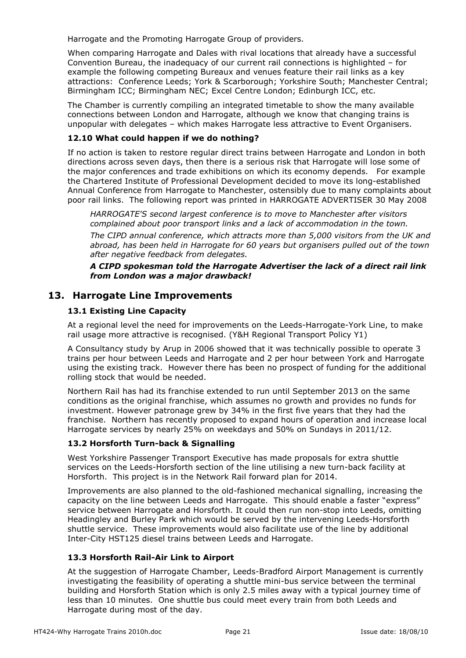Harrogate and the Promoting Harrogate Group of providers.

When comparing Harrogate and Dales with rival locations that already have a successful Convention Bureau, the inadequacy of our current rail connections is highlighted – for example the following competing Bureaux and venues feature their rail links as a key attractions: Conference Leeds; York & Scarborough; Yorkshire South; Manchester Central; Birmingham ICC; Birmingham NEC; Excel Centre London; Edinburgh ICC, etc.

The Chamber is currently compiling an integrated timetable to show the many available connections between London and Harrogate, although we know that changing trains is unpopular with delegates – which makes Harrogate less attractive to Event Organisers.

#### **12.10 What could happen if we do nothing?**

If no action is taken to restore regular direct trains between Harrogate and London in both directions across seven days, then there is a serious risk that Harrogate will lose some of the major conferences and trade exhibitions on which its economy depends. For example the Chartered Institute of Professional Development decided to move its long-established Annual Conference from Harrogate to Manchester, ostensibly due to many complaints about poor rail links. The following report was printed in HARROGATE ADVERTISER 30 May 2008

*HARROGATE'S second largest conference is to move to Manchester after visitors complained about poor transport links and a lack of accommodation in the town. The CIPD annual conference, which attracts more than 5,000 visitors from the UK and abroad, has been held in Harrogate for 60 years but organisers pulled out of the town after negative feedback from delegates.* 

*A CIPD spokesman told the Harrogate Advertiser the lack of a direct rail link from London was a major drawback!* 

## **13. Harrogate Line Improvements**

#### **13.1 Existing Line Capacity**

At a regional level the need for improvements on the Leeds-Harrogate-York Line, to make rail usage more attractive is recognised. (Y&H Regional Transport Policy Y1)

A Consultancy study by Arup in 2006 showed that it was technically possible to operate 3 trains per hour between Leeds and Harrogate and 2 per hour between York and Harrogate using the existing track. However there has been no prospect of funding for the additional rolling stock that would be needed.

Northern Rail has had its franchise extended to run until September 2013 on the same conditions as the original franchise, which assumes no growth and provides no funds for investment. However patronage grew by 34% in the first five years that they had the franchise. Northern has recently proposed to expand hours of operation and increase local Harrogate services by nearly 25% on weekdays and 50% on Sundays in 2011/12.

#### **13.2 Horsforth Turn-back & Signalling**

West Yorkshire Passenger Transport Executive has made proposals for extra shuttle services on the Leeds-Horsforth section of the line utilising a new turn-back facility at Horsforth. This project is in the Network Rail forward plan for 2014.

Improvements are also planned to the old-fashioned mechanical signalling, increasing the capacity on the line between Leeds and Harrogate. This should enable a faster "express" service between Harrogate and Horsforth. It could then run non-stop into Leeds, omitting Headingley and Burley Park which would be served by the intervening Leeds-Horsforth shuttle service. These improvements would also facilitate use of the line by additional Inter-City HST125 diesel trains between Leeds and Harrogate.

#### **13.3 Horsforth Rail-Air Link to Airport**

At the suggestion of Harrogate Chamber, Leeds-Bradford Airport Management is currently investigating the feasibility of operating a shuttle mini-bus service between the terminal building and Horsforth Station which is only 2.5 miles away with a typical journey time of less than 10 minutes. One shuttle bus could meet every train from both Leeds and Harrogate during most of the day.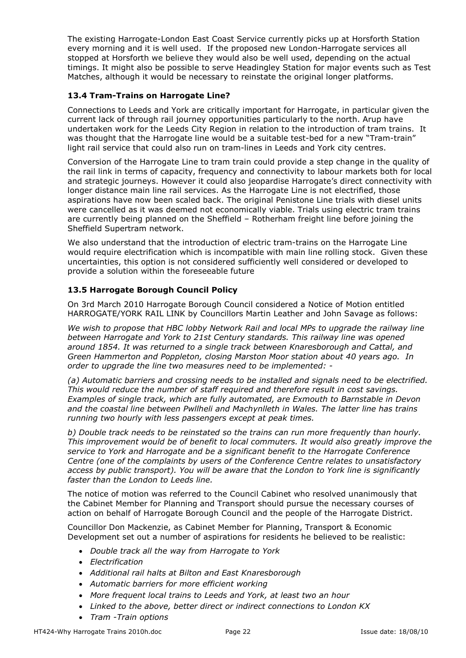The existing Harrogate-London East Coast Service currently picks up at Horsforth Station every morning and it is well used. If the proposed new London-Harrogate services all stopped at Horsforth we believe they would also be well used, depending on the actual timings. It might also be possible to serve Headingley Station for major events such as Test Matches, although it would be necessary to reinstate the original longer platforms.

#### **13.4 Tram-Trains on Harrogate Line?**

Connections to Leeds and York are critically important for Harrogate, in particular given the current lack of through rail journey opportunities particularly to the north. Arup have undertaken work for the Leeds City Region in relation to the introduction of tram trains. It was thought that the Harrogate line would be a suitable test-bed for a new "Tram-train" light rail service that could also run on tram-lines in Leeds and York city centres.

Conversion of the Harrogate Line to tram train could provide a step change in the quality of the rail link in terms of capacity, frequency and connectivity to labour markets both for local and strategic journeys. However it could also jeopardise Harrogate's direct connectivity with longer distance main line rail services. As the Harrogate Line is not electrified, those aspirations have now been scaled back. The original Penistone Line trials with diesel units were cancelled as it was deemed not economically viable. Trials using electric tram trains are currently being planned on the Sheffield – Rotherham freight line before joining the Sheffield Supertram network.

We also understand that the introduction of electric tram-trains on the Harrogate Line would require electrification which is incompatible with main line rolling stock. Given these uncertainties, this option is not considered sufficiently well considered or developed to provide a solution within the foreseeable future

#### **13.5 Harrogate Borough Council Policy**

On 3rd March 2010 Harrogate Borough Council considered a Notice of Motion entitled HARROGATE/YORK RAIL LINK by Councillors Martin Leather and John Savage as follows:

*We wish to propose that HBC lobby Network Rail and local MPs to upgrade the railway line between Harrogate and York to 21st Century standards. This railway line was opened around 1854. It was returned to a single track between Knaresborough and Cattal, and Green Hammerton and Poppleton, closing Marston Moor station about 40 years ago. In order to upgrade the line two measures need to be implemented: -* 

*(a) Automatic barriers and crossing needs to be installed and signals need to be electrified. This would reduce the number of staff required and therefore result in cost savings. Examples of single track, which are fully automated, are Exmouth to Barnstable in Devon and the coastal line between Pwllheli and Machynlleth in Wales. The latter line has trains running two hourly with less passengers except at peak times.* 

*b) Double track needs to be reinstated so the trains can run more frequently than hourly. This improvement would be of benefit to local commuters. It would also greatly improve the service to York and Harrogate and be a significant benefit to the Harrogate Conference Centre (one of the complaints by users of the Conference Centre relates to unsatisfactory access by public transport). You will be aware that the London to York line is significantly faster than the London to Leeds line.* 

The notice of motion was referred to the Council Cabinet who resolved unanimously that the Cabinet Member for Planning and Transport should pursue the necessary courses of action on behalf of Harrogate Borough Council and the people of the Harrogate District.

Councillor Don Mackenzie, as Cabinet Member for Planning, Transport & Economic Development set out a number of aspirations for residents he believed to be realistic:

- *Double track all the way from Harrogate to York*
- *Electrification*
- *Additional rail halts at Bilton and East Knaresborough*
- *Automatic barriers for more efficient working*
- *More frequent local trains to Leeds and York, at least two an hour*
- *Linked to the above, better direct or indirect connections to London KX*
- *Tram -Train options*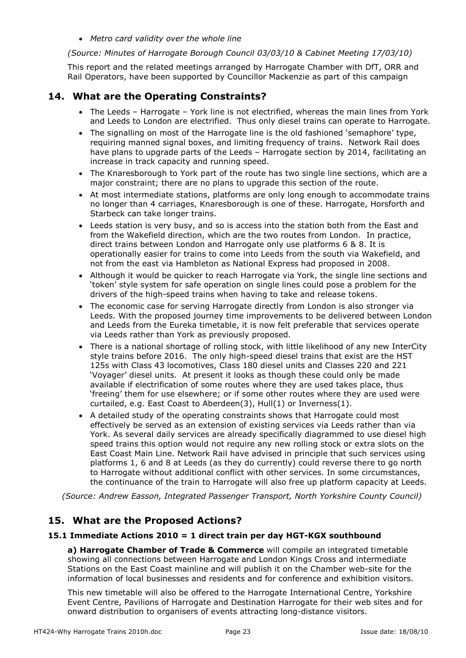• *Metro card validity over the whole line* 

*(Source: Minutes of Harrogate Borough Council 03/03/10 & Cabinet Meeting 17/03/10)* 

This report and the related meetings arranged by Harrogate Chamber with DfT, ORR and Rail Operators, have been supported by Councillor Mackenzie as part of this campaign

#### **14. What are the Operating Constraints?**

- The Leeds Harrogate York line is not electrified, whereas the main lines from York and Leeds to London are electrified. Thus only diesel trains can operate to Harrogate.
- The signalling on most of the Harrogate line is the old fashioned 'semaphore' type, requiring manned signal boxes, and limiting frequency of trains. Network Rail does have plans to upgrade parts of the Leeds – Harrogate section by 2014, facilitating an increase in track capacity and running speed.
- The Knaresborough to York part of the route has two single line sections, which are a major constraint; there are no plans to upgrade this section of the route.
- At most intermediate stations, platforms are only long enough to accommodate trains no longer than 4 carriages, Knaresborough is one of these. Harrogate, Horsforth and Starbeck can take longer trains.
- Leeds station is very busy, and so is access into the station both from the East and from the Wakefield direction, which are the two routes from London. In practice, direct trains between London and Harrogate only use platforms 6 & 8. It is operationally easier for trains to come into Leeds from the south via Wakefield, and not from the east via Hambleton as National Express had proposed in 2008.
- Although it would be quicker to reach Harrogate via York, the single line sections and 'token' style system for safe operation on single lines could pose a problem for the drivers of the high-speed trains when having to take and release tokens.
- The economic case for serving Harrogate directly from London is also stronger via Leeds. With the proposed journey time improvements to be delivered between London and Leeds from the Eureka timetable, it is now felt preferable that services operate via Leeds rather than York as previously proposed.
- There is a national shortage of rolling stock, with little likelihood of any new InterCity style trains before 2016. The only high-speed diesel trains that exist are the HST 125s with Class 43 locomotives, Class 180 diesel units and Classes 220 and 221 'Voyager' diesel units. At present it looks as though these could only be made available if electrification of some routes where they are used takes place, thus 'freeing' them for use elsewhere; or if some other routes where they are used were curtailed, e.g. East Coast to Aberdeen(3), Hull(1) or Inverness(1).
- A detailed study of the operating constraints shows that Harrogate could most effectively be served as an extension of existing services via Leeds rather than via York. As several daily services are already specifically diagrammed to use diesel high speed trains this option would not require any new rolling stock or extra slots on the East Coast Main Line. Network Rail have advised in principle that such services using platforms 1, 6 and 8 at Leeds (as they do currently) could reverse there to go north to Harrogate without additional conflict with other services. In some circumstances, the continuance of the train to Harrogate will also free up platform capacity at Leeds.

*(Source: Andrew Easson, Integrated Passenger Transport, North Yorkshire County Council)* 

#### **15. What are the Proposed Actions?**

#### **15.1 Immediate Actions 2010 = 1 direct train per day HGT-KGX southbound**

**a) Harrogate Chamber of Trade & Commerce** will compile an integrated timetable showing all connections between Harrogate and London Kings Cross and intermediate Stations on the East Coast mainline and will publish it on the Chamber web-site for the information of local businesses and residents and for conference and exhibition visitors.

This new timetable will also be offered to the Harrogate International Centre, Yorkshire Event Centre, Pavilions of Harrogate and Destination Harrogate for their web sites and for onward distribution to organisers of events attracting long-distance visitors.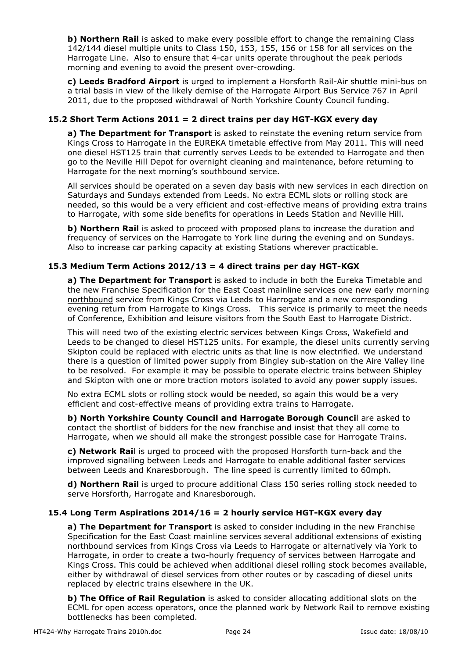**b) Northern Rail** is asked to make every possible effort to change the remaining Class 142/144 diesel multiple units to Class 150, 153, 155, 156 or 158 for all services on the Harrogate Line. Also to ensure that 4-car units operate throughout the peak periods morning and evening to avoid the present over-crowding.

**c) Leeds Bradford Airport** is urged to implement a Horsforth Rail-Air shuttle mini-bus on a trial basis in view of the likely demise of the Harrogate Airport Bus Service 767 in April 2011, due to the proposed withdrawal of North Yorkshire County Council funding.

#### **15.2 Short Term Actions 2011 = 2 direct trains per day HGT-KGX every day**

**a) The Department for Transport** is asked to reinstate the evening return service from Kings Cross to Harrogate in the EUREKA timetable effective from May 2011. This will need one diesel HST125 train that currently serves Leeds to be extended to Harrogate and then go to the Neville Hill Depot for overnight cleaning and maintenance, before returning to Harrogate for the next morning's southbound service.

All services should be operated on a seven day basis with new services in each direction on Saturdays and Sundays extended from Leeds. No extra ECML slots or rolling stock are needed, so this would be a very efficient and cost-effective means of providing extra trains to Harrogate, with some side benefits for operations in Leeds Station and Neville Hill.

**b) Northern Rail** is asked to proceed with proposed plans to increase the duration and frequency of services on the Harrogate to York line during the evening and on Sundays. Also to increase car parking capacity at existing Stations wherever practicable.

#### **15.3 Medium Term Actions 2012/13 = 4 direct trains per day HGT-KGX**

**a) The Department for Transport** is asked to include in both the Eureka Timetable and the new Franchise Specification for the East Coast mainline services one new early morning northbound service from Kings Cross via Leeds to Harrogate and a new corresponding evening return from Harrogate to Kings Cross. This service is primarily to meet the needs of Conference, Exhibition and leisure visitors from the South East to Harrogate District.

This will need two of the existing electric services between Kings Cross, Wakefield and Leeds to be changed to diesel HST125 units. For example, the diesel units currently serving Skipton could be replaced with electric units as that line is now electrified. We understand there is a question of limited power supply from Bingley sub-station on the Aire Valley line to be resolved. For example it may be possible to operate electric trains between Shipley and Skipton with one or more traction motors isolated to avoid any power supply issues.

No extra ECML slots or rolling stock would be needed, so again this would be a very efficient and cost-effective means of providing extra trains to Harrogate.

**b) North Yorkshire County Council and Harrogate Borough Counci**l are asked to contact the shortlist of bidders for the new franchise and insist that they all come to Harrogate, when we should all make the strongest possible case for Harrogate Trains.

**c) Network Rai**l is urged to proceed with the proposed Horsforth turn-back and the improved signalling between Leeds and Harrogate to enable additional faster services between Leeds and Knaresborough. The line speed is currently limited to 60mph.

**d) Northern Rail** is urged to procure additional Class 150 series rolling stock needed to serve Horsforth, Harrogate and Knaresborough.

#### **15.4 Long Term Aspirations 2014/16 = 2 hourly service HGT-KGX every day**

**a) The Department for Transport** is asked to consider including in the new Franchise Specification for the East Coast mainline services several additional extensions of existing northbound services from Kings Cross via Leeds to Harrogate or alternatively via York to Harrogate, in order to create a two-hourly frequency of services between Harrogate and Kings Cross. This could be achieved when additional diesel rolling stock becomes available, either by withdrawal of diesel services from other routes or by cascading of diesel units replaced by electric trains elsewhere in the UK.

**b) The Office of Rail Regulation** is asked to consider allocating additional slots on the ECML for open access operators, once the planned work by Network Rail to remove existing bottlenecks has been completed.